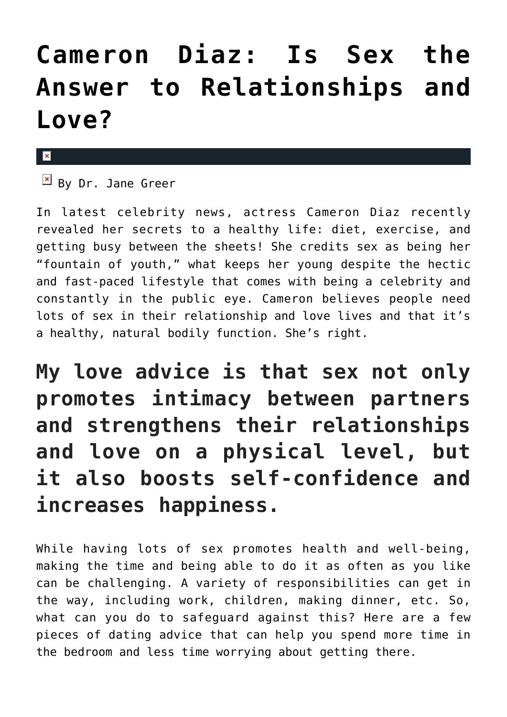# **[Cameron Diaz: Is Sex the](https://cupidspulse.com/88483/cameron-diaz-sex-relationships-and-love/) [Answer to Relationships and](https://cupidspulse.com/88483/cameron-diaz-sex-relationships-and-love/) [Love?](https://cupidspulse.com/88483/cameron-diaz-sex-relationships-and-love/)**

x

 $\overline{B}$  By Dr. Jane Greer

In latest celebrity news, actress Cameron Diaz recently revealed her secrets to a healthy life: diet, exercise, and getting busy between the sheets! She credits sex as being her "fountain of youth," what keeps her young despite the hectic and fast-paced lifestyle that comes with being a celebrity and constantly in the public eye. Cameron believes people need lots of sex in their relationship and love lives and that it's a healthy, natural bodily function. She's right.

**My love advice is that sex not only promotes intimacy between partners and strengthens their relationships and love on a physical level, but it also boosts self-confidence and increases happiness.**

While having lots of sex promotes health and well-being, making the time and being able to do it as often as you like can be challenging. A variety of responsibilities can get in the way, including work, children, making dinner, etc. So, what can you do to safeguard against this? Here are a few pieces of dating advice that can help you spend more time in the bedroom and less time worrying about getting there.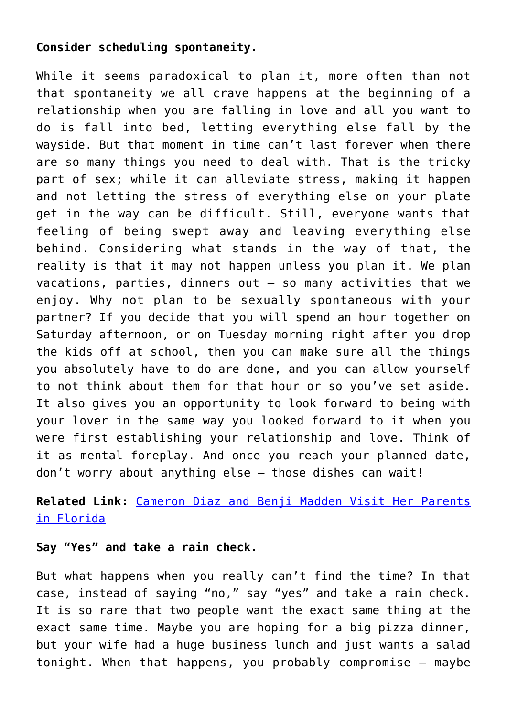#### **Consider scheduling spontaneity.**

While it seems paradoxical to plan it, more often than not that spontaneity we all crave happens at the beginning of a relationship when you are falling in love and all you want to do is fall into bed, letting everything else fall by the wayside. But that moment in time can't last forever when there are so many things you need to deal with. That is the tricky part of sex; while it can alleviate stress, making it happen and not letting the stress of everything else on your plate get in the way can be difficult. Still, everyone wants that feeling of being swept away and leaving everything else behind. Considering what stands in the way of that, the reality is that it may not happen unless you plan it. We plan vacations, parties, dinners out – so many activities that we enjoy. Why not plan to be sexually spontaneous with your partner? If you decide that you will spend an hour together on Saturday afternoon, or on Tuesday morning right after you drop the kids off at school, then you can make sure all the things you absolutely have to do are done, and you can allow yourself to not think about them for that hour or so you've set aside. It also gives you an opportunity to look forward to being with your lover in the same way you looked forward to it when you were first establishing your relationship and love. Think of it as mental foreplay. And once you reach your planned date, don't worry about anything else – those dishes can wait!

## **Related Link:** [Cameron Diaz and Benji Madden Visit Her Parents](http://cupidspulse.com/77282/cameron-diaz-benji-madden-visit-parents/) [in Florida](http://cupidspulse.com/77282/cameron-diaz-benji-madden-visit-parents/)

### **Say "Yes" and take a rain check.**

But what happens when you really can't find the time? In that case, instead of saying "no," say "yes" and take a rain check. It is so rare that two people want the exact same thing at the exact same time. Maybe you are hoping for a big pizza dinner, but your wife had a huge business lunch and just wants a salad tonight. When that happens, you probably compromise – maybe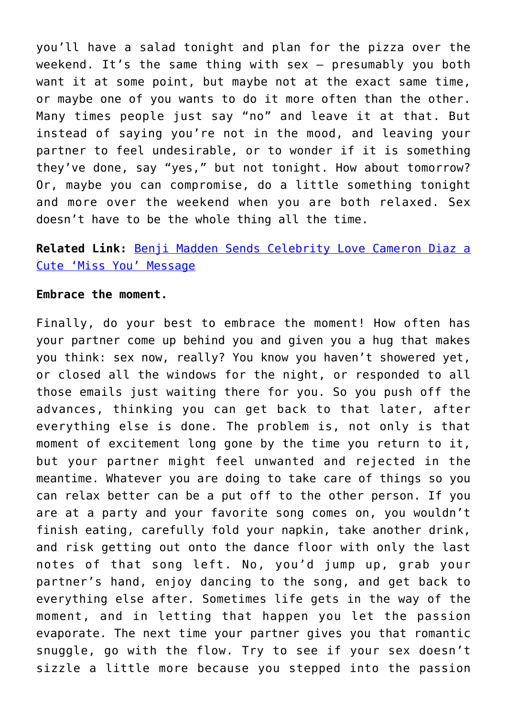you'll have a salad tonight and plan for the pizza over the weekend. It's the same thing with sex – presumably you both want it at some point, but maybe not at the exact same time, or maybe one of you wants to do it more often than the other. Many times people just say "no" and leave it at that. But instead of saying you're not in the mood, and leaving your partner to feel undesirable, or to wonder if it is something they've done, say "yes," but not tonight. How about tomorrow? Or, maybe you can compromise, do a little something tonight and more over the weekend when you are both relaxed. Sex doesn't have to be the whole thing all the time.

# **Related Link:** [Benji Madden Sends Celebrity Love Cameron Diaz a](http://cupidspulse.com/88291/benji-madden-sends-celebrity-love-cameron-diaz-cute-message/) [Cute 'Miss You' Message](http://cupidspulse.com/88291/benji-madden-sends-celebrity-love-cameron-diaz-cute-message/)

#### **Embrace the moment.**

Finally, do your best to embrace the moment! How often has your partner come up behind you and given you a hug that makes you think: sex now, really? You know you haven't showered yet, or closed all the windows for the night, or responded to all those emails just waiting there for you. So you push off the advances, thinking you can get back to that later, after everything else is done. The problem is, not only is that moment of excitement long gone by the time you return to it, but your partner might feel unwanted and rejected in the meantime. Whatever you are doing to take care of things so you can relax better can be a put off to the other person. If you are at a party and your favorite song comes on, you wouldn't finish eating, carefully fold your napkin, take another drink, and risk getting out onto the dance floor with only the last notes of that song left. No, you'd jump up, grab your partner's hand, enjoy dancing to the song, and get back to everything else after. Sometimes life gets in the way of the moment, and in letting that happen you let the passion evaporate. The next time your partner gives you that romantic snuggle, go with the flow. Try to see if your sex doesn't sizzle a little more because you stepped into the passion